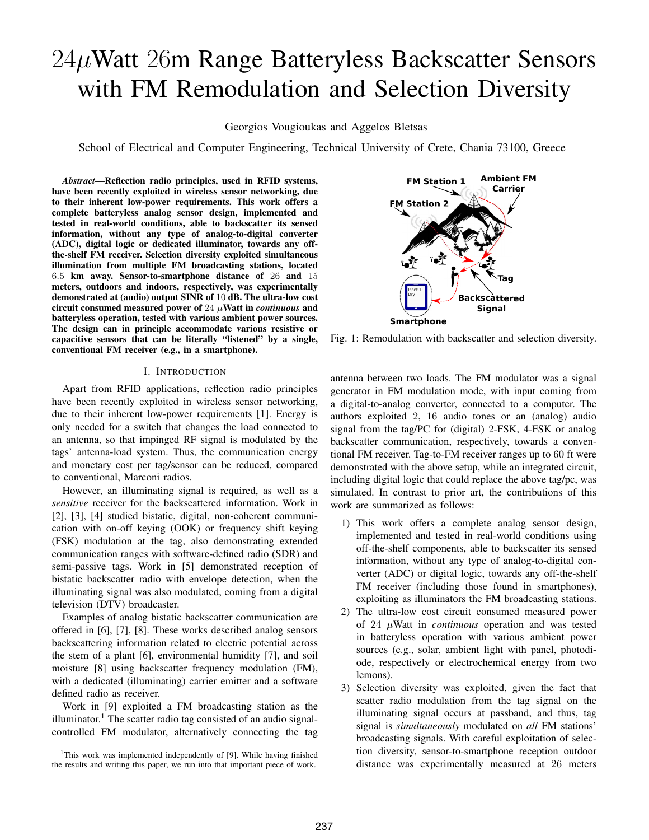# $24\mu$ Watt  $26m$  Range Batteryless Backscatter Sensors with FM Remodulation and Selection Diversity

Georgios Vougioukas and Aggelos Bletsas

School of Electrical and Computer Engineering, Technical University of Crete, Chania 73100, Greece

*Abstract*—Reflection radio principles, used in RFID systems, have been recently exploited in wireless sensor networking, due to their inherent low-power requirements. This work offers a complete batteryless analog sensor design, implemented and tested in real-world conditions, able to backscatter its sensed information, without any type of analog-to-digital converter (ADC), digital logic or dedicated illuminator, towards any offthe-shelf FM receiver. Selection diversity exploited simultaneous illumination from multiple FM broadcasting stations, located 6.5 km away. Sensor-to-smartphone distance of 26 and 15 meters, outdoors and indoors, respectively, was experimentally demonstrated at (audio) output SINR of 10 dB. The ultra-low cost circuit consumed measured power of 24 μWatt in *continuous* and batteryless operation, tested with various ambient power sources. The design can in principle accommodate various resistive or capacitive sensors that can be literally "listened" by a single, conventional FM receiver (e.g., in a smartphone).

## I. INTRODUCTION

Apart from RFID applications, reflection radio principles have been recently exploited in wireless sensor networking, due to their inherent low-power requirements [1]. Energy is only needed for a switch that changes the load connected to an antenna, so that impinged RF signal is modulated by the tags' antenna-load system. Thus, the communication energy and monetary cost per tag/sensor can be reduced, compared to conventional, Marconi radios.

However, an illuminating signal is required, as well as a *sensitive* receiver for the backscattered information. Work in [2], [3], [4] studied bistatic, digital, non-coherent communication with on-off keying (OOK) or frequency shift keying (FSK) modulation at the tag, also demonstrating extended communication ranges with software-defined radio (SDR) and semi-passive tags. Work in [5] demonstrated reception of bistatic backscatter radio with envelope detection, when the illuminating signal was also modulated, coming from a digital television (DTV) broadcaster.

Examples of analog bistatic backscatter communication are offered in [6], [7], [8]. These works described analog sensors backscattering information related to electric potential across the stem of a plant [6], environmental humidity [7], and soil moisture [8] using backscatter frequency modulation (FM), with a dedicated (illuminating) carrier emitter and a software defined radio as receiver.

Work in [9] exploited a FM broadcasting station as the illuminator.<sup>1</sup> The scatter radio tag consisted of an audio signalcontrolled FM modulator, alternatively connecting the tag

<sup>1</sup>This work was implemented independently of [9]. While having finished the results and writing this paper, we run into that important piece of work.



Fig. 1: Remodulation with backscatter and selection diversity.

antenna between two loads. The FM modulator was a signal generator in FM modulation mode, with input coming from a digital-to-analog converter, connected to a computer. The authors exploited 2, 16 audio tones or an (analog) audio signal from the tag/PC for (digital) 2-FSK, 4-FSK or analog backscatter communication, respectively, towards a conventional FM receiver. Tag-to-FM receiver ranges up to 60 ft were demonstrated with the above setup, while an integrated circuit, including digital logic that could replace the above tag/pc, was simulated. In contrast to prior art, the contributions of this work are summarized as follows:

- 1) This work offers a complete analog sensor design, implemented and tested in real-world conditions using off-the-shelf components, able to backscatter its sensed information, without any type of analog-to-digital converter (ADC) or digital logic, towards any off-the-shelf FM receiver (including those found in smartphones), exploiting as illuminators the FM broadcasting stations.
- 2) The ultra-low cost circuit consumed measured power of 24 μWatt in *continuous* operation and was tested in batteryless operation with various ambient power sources (e.g., solar, ambient light with panel, photodiode, respectively or electrochemical energy from two lemons).
- 3) Selection diversity was exploited, given the fact that scatter radio modulation from the tag signal on the illuminating signal occurs at passband, and thus, tag signal is *simultaneously* modulated on *all* FM stations' broadcasting signals. With careful exploitation of selection diversity, sensor-to-smartphone reception outdoor distance was experimentally measured at 26 meters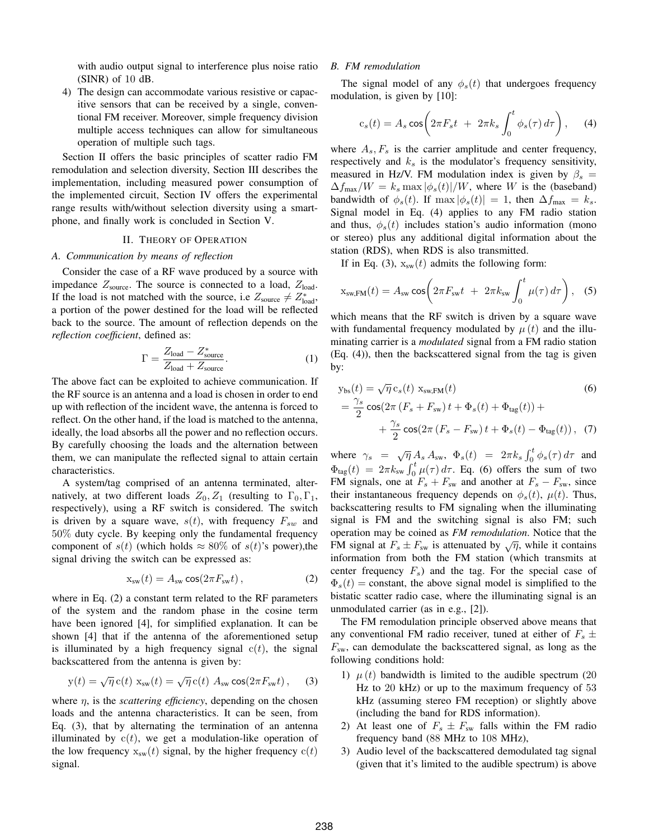with audio output signal to interference plus noise ratio (SINR) of 10 dB.

4) The design can accommodate various resistive or capacitive sensors that can be received by a single, conventional FM receiver. Moreover, simple frequency division multiple access techniques can allow for simultaneous operation of multiple such tags.

Section II offers the basic principles of scatter radio FM remodulation and selection diversity, Section III describes the implementation, including measured power consumption of the implemented circuit, Section IV offers the experimental range results with/without selection diversity using a smartphone, and finally work is concluded in Section V.

### II. THEORY OF OPERATION

## *A. Communication by means of reflection*

Consider the case of a RF wave produced by a source with impedance  $Z_{\text{source}}$ . The source is connected to a load,  $Z_{\text{load}}$ . If the load is not matched with the source, i.e  $Z_{\text{source}} \neq Z_{\text{load}}^*$ , a portion of the power destined for the load will be reflected back to the source. The amount of reflection depends on the *reflection coefficient*, defined as:

$$
\Gamma = \frac{Z_{\text{load}} - Z_{\text{source}}^*}{Z_{\text{load}} + Z_{\text{source}}}.\tag{1}
$$

The above fact can be exploited to achieve communication. If the RF source is an antenna and a load is chosen in order to end up with reflection of the incident wave, the antenna is forced to reflect. On the other hand, if the load is matched to the antenna, ideally, the load absorbs all the power and no reflection occurs. By carefully choosing the loads and the alternation between them, we can manipulate the reflected signal to attain certain characteristics.

A system/tag comprised of an antenna terminated, alternatively, at two different loads  $Z_0, Z_1$  (resulting to  $\Gamma_0, \Gamma_1$ , respectively), using a RF switch is considered. The switch is driven by a square wave,  $s(t)$ , with frequency  $F_{sw}$  and 50% duty cycle. By keeping only the fundamental frequency component of  $s(t)$  (which holds  $\approx 80\%$  of  $s(t)$ 's power),the signal driving the switch can be expressed as:

$$
x_{sw}(t) = A_{sw} \cos(2\pi F_{sw} t), \qquad (2)
$$

where in Eq. (2) a constant term related to the RF parameters of the system and the random phase in the cosine term have been ignored [4], for simplified explanation. It can be shown [4] that if the antenna of the aforementioned setup is illuminated by a high frequency signal  $c(t)$ , the signal backscattered from the antenna is given by:

$$
y(t) = \sqrt{\eta} c(t) x_{sw}(t) = \sqrt{\eta} c(t) A_{sw} \cos(2\pi F_{sw} t), \quad (3)
$$

where  $\eta$ , is the *scattering efficiency*, depending on the chosen loads and the antenna characteristics. It can be seen, from Eq. (3), that by alternating the termination of an antenna illuminated by  $c(t)$ , we get a modulation-like operation of the low frequency  $x_{sw}(t)$  signal, by the higher frequency  $c(t)$ signal.

## *B. FM remodulation*

The signal model of any  $\phi_s(t)$  that undergoes frequency modulation, is given by [10]:

$$
c_s(t) = A_s \cos\left(2\pi F_s t + 2\pi k_s \int_0^t \phi_s(\tau) d\tau\right), \quad (4)
$$

where  $A_s$ ,  $F_s$  is the carrier amplitude and center frequency, respectively and  $k<sub>s</sub>$  is the modulator's frequency sensitivity, measured in Hz/V. FM modulation index is given by  $\beta_s =$  $\Delta f_{\text{max}}/W = k_s \max |\phi_s(t)|/W$ , where W is the (baseband) bandwidth of  $\phi_s(t)$ . If max  $|\phi_s(t)| = 1$ , then  $\Delta f_{\text{max}} = k_s$ . Signal model in Eq. (4) applies to any FM radio station and thus,  $\phi_s(t)$  includes station's audio information (mono or stereo) plus any additional digital information about the station (RDS), when RDS is also transmitted.

If in Eq. (3),  $x_{sw}(t)$  admits the following form:

$$
x_{\text{sw,FM}}(t) = A_{\text{sw}} \cos \left( 2\pi F_{\text{sw}} t + 2\pi k_{\text{sw}} \int_0^t \mu(\tau) d\tau \right), \quad (5)
$$

which means that the RF switch is driven by a square wave with fundamental frequency modulated by  $\mu(t)$  and the illuminating carrier is a *modulated* signal from a FM radio station (Eq. (4)), then the backscattered signal from the tag is given by:

$$
y_{bs}(t) = \sqrt{\eta} c_s(t) x_{sw,FM}(t)
$$
\n
$$
= \frac{\gamma_s}{2} \cos(2\pi (F_s + F_{sw})t + \Phi_s(t) + \Phi_{tag}(t)) +
$$
\n
$$
+ \frac{\gamma_s}{2} \cos(2\pi (F_s - F_{sw})t + \Phi_s(t) - \Phi_{tag}(t)), \quad (7)
$$

where  $\gamma_s = \sqrt{\eta} A_s A_{sw}$ ,  $\Phi_s(t) = 2\pi k_s \int_0^t \phi_s(\tau) d\tau$  and  $\Phi_{\text{tag}}(t) = 2\pi k_{\text{sw}} \int_0^t \mu(\tau) d\tau$ . Eq. (6) offers the sum of two FM signals, one at  $F_s + F_{sw}$  and another at  $F_s - F_{sw}$ , since their instantaneous frequency depends on  $\phi_s(t)$ ,  $\mu(t)$ . Thus, backscattering results to FM signaling when the illuminating signal is FM and the switching signal is also FM; such operation may be coined as *FM remodulation*. Notice that the FM signal at  $F_s \pm F_{sw}$  is attenuated by  $\sqrt{\eta}$ , while it contains information from both the FM station (which transmits at center frequency  $F_s$ ) and the tag. For the special case of  $\Phi_s(t)$  = constant, the above signal model is simplified to the bistatic scatter radio case, where the illuminating signal is an unmodulated carrier (as in e.g., [2]).

The FM remodulation principle observed above means that any conventional FM radio receiver, tuned at either of  $F_s \pm$  $F_{sw}$ , can demodulate the backscattered signal, as long as the following conditions hold:

- 1)  $\mu(t)$  bandwidth is limited to the audible spectrum (20) Hz to 20 kHz) or up to the maximum frequency of 53 kHz (assuming stereo FM reception) or slightly above (including the band for RDS information).
- 2) At least one of  $F_s \pm F_{sw}$  falls within the FM radio frequency band (88 MHz to 108 MHz),
- 3) Audio level of the backscattered demodulated tag signal (given that it's limited to the audible spectrum) is above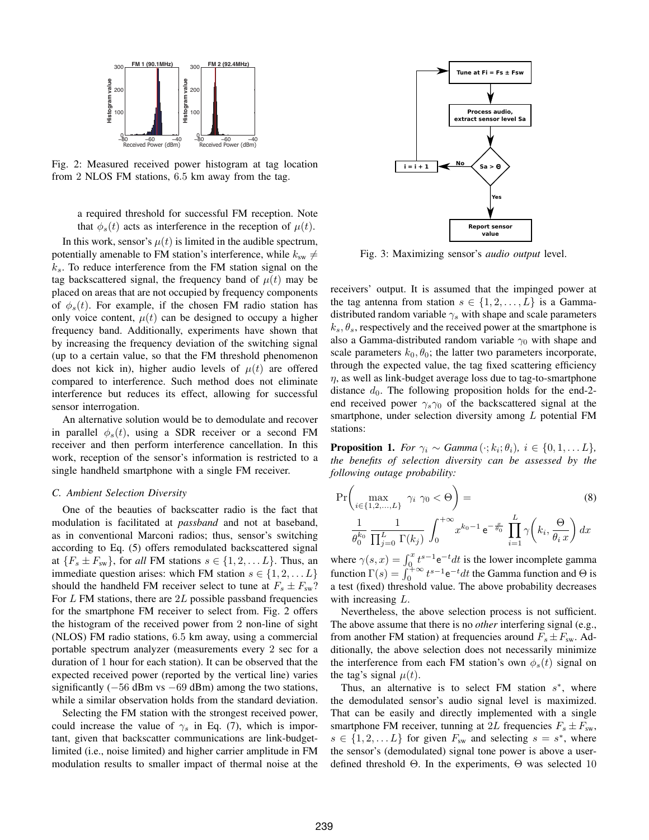

Fig. 2: Measured received power histogram at tag location from 2 NLOS FM stations, 6.5 km away from the tag.

a required threshold for successful FM reception. Note that  $\phi_s(t)$  acts as interference in the reception of  $\mu(t)$ .

In this work, sensor's  $\mu(t)$  is limited in the audible spectrum, potentially amenable to FM station's interference, while  $k_{sw} \neq$  $k<sub>s</sub>$ . To reduce interference from the FM station signal on the tag backscattered signal, the frequency band of  $\mu(t)$  may be placed on areas that are not occupied by frequency components of  $\phi_s(t)$ . For example, if the chosen FM radio station has only voice content,  $\mu(t)$  can be designed to occupy a higher frequency band. Additionally, experiments have shown that by increasing the frequency deviation of the switching signal (up to a certain value, so that the FM threshold phenomenon does not kick in), higher audio levels of  $\mu(t)$  are offered compared to interference. Such method does not eliminate interference but reduces its effect, allowing for successful sensor interrogation.

An alternative solution would be to demodulate and recover in parallel  $\phi_s(t)$ , using a SDR receiver or a second FM receiver and then perform interference cancellation. In this work, reception of the sensor's information is restricted to a single handheld smartphone with a single FM receiver.

#### *C. Ambient Selection Diversity*

One of the beauties of backscatter radio is the fact that modulation is facilitated at *passband* and not at baseband, as in conventional Marconi radios; thus, sensor's switching according to Eq. (5) offers remodulated backscattered signal at  ${F_s \pm F_{sw}}$ , for *all* FM stations  $s \in \{1, 2, \ldots L\}$ . Thus, an immediate question arises: which FM station  $s \in \{1, 2, \ldots L\}$ should the handheld FM receiver select to tune at  $F_s \pm F_{sw}$ ? For  $L$  FM stations, there are  $2L$  possible passband frequencies for the smartphone FM receiver to select from. Fig. 2 offers the histogram of the received power from 2 non-line of sight (NLOS) FM radio stations, 6.5 km away, using a commercial portable spectrum analyzer (measurements every 2 sec for a duration of 1 hour for each station). It can be observed that the expected received power (reported by the vertical line) varies significantly  $(-56$  dBm vs  $-69$  dBm) among the two stations, while a similar observation holds from the standard deviation.

Selecting the FM station with the strongest received power, could increase the value of  $\gamma_s$  in Eq. (7), which is important, given that backscatter communications are link-budgetlimited (i.e., noise limited) and higher carrier amplitude in FM modulation results to smaller impact of thermal noise at the



Fig. 3: Maximizing sensor's *audio output* level.

receivers' output. It is assumed that the impinged power at the tag antenna from station  $s \in \{1, 2, \ldots, L\}$  is a Gammadistributed random variable  $\gamma_s$  with shape and scale parameters  $k_s, \theta_s$ , respectively and the received power at the smartphone is also a Gamma-distributed random variable  $\gamma_0$  with shape and scale parameters  $k_0$ ,  $\theta_0$ ; the latter two parameters incorporate, through the expected value, the tag fixed scattering efficiency  $\eta$ , as well as link-budget average loss due to tag-to-smartphone distance  $d_0$ . The following proposition holds for the end-2end received power  $\gamma_s \gamma_0$  of the backscattered signal at the smartphone, under selection diversity among L potential FM stations:

**Proposition 1.** *For*  $\gamma_i \sim \text{Gamma}(\cdot; k_i; \theta_i), i \in \{0, 1, \ldots L\}$ , *the benefits of selection diversity can be assessed by the following outage probability:*

$$
\Pr\left(\max_{i\in\{1,2,\ldots,L\}}\gamma_i\ \gamma_0 < \Theta\right) = \tag{8}
$$
\n
$$
\frac{1}{\theta_0^{k_0}}\frac{1}{\prod_{j=0}^L\Gamma(k_j)}\int_0^{+\infty}x^{k_0-1}e^{-\frac{x}{\theta_0}}\prod_{i=1}^L\gamma\left(k_i,\frac{\Theta}{\theta_i x}\right)dx
$$

where  $\gamma(s, x) = \int_0^x t^{s-1} e^{-t} dt$  is the lower incomplete gamma function  $\Gamma(s) = \int_0^{+\infty} t^{s-1} e^{-t} dt$  the Gamma function and  $\Theta$  is a test (fixed) threshold value. The above probability decreases with increasing L.

Nevertheless, the above selection process is not sufficient. The above assume that there is no *other* interfering signal (e.g., from another FM station) at frequencies around  $F_s \pm F_{sw}$ . Additionally, the above selection does not necessarily minimize the interference from each FM station's own  $\phi_s(t)$  signal on the tag's signal  $\mu(t)$ .

Thus, an alternative is to select FM station  $s^*$ , where the demodulated sensor's audio signal level is maximized. That can be easily and directly implemented with a single smartphone FM receiver, tunning at 2L frequencies  $F_s \pm F_{sw}$ ,  $s \in \{1, 2, \dots L\}$  for given  $F_{sw}$  and selecting  $s = s^*$ , where the sensor's (demodulated) signal tone power is above a userdefined threshold Θ. In the experiments, Θ was selected 10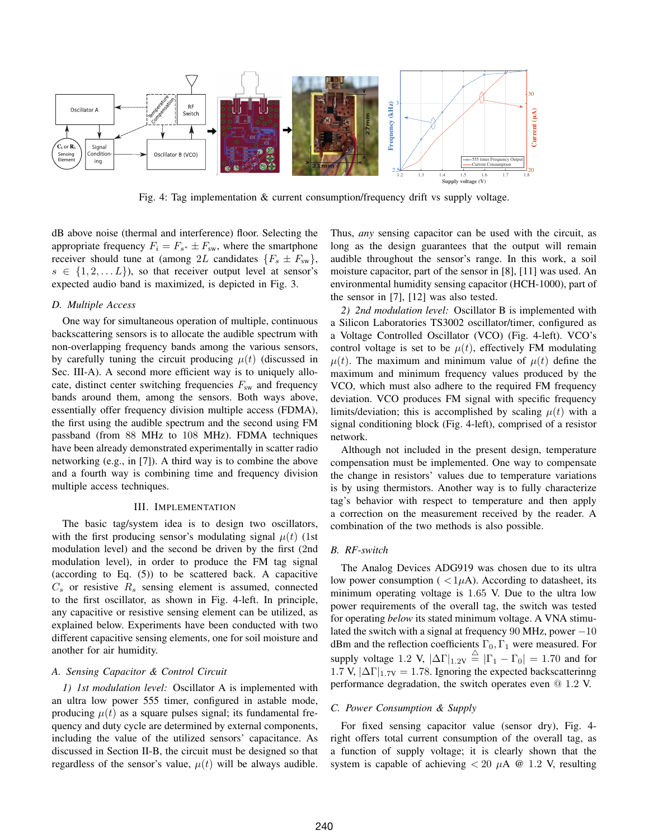

Fig. 4: Tag implementation & current consumption/frequency drift vs supply voltage.

dB above noise (thermal and interference) floor. Selecting the appropriate frequency  $F_i = F_{s^*} \pm F_{sw}$ , where the smartphone receiver should tune at (among 2L candidates  $\{F_s \pm F_{sw}\},\$  $s \in \{1, 2, \ldots L\}$ , so that receiver output level at sensor's expected audio band is maximized, is depicted in Fig. 3.

#### *D. Multiple Access*

One way for simultaneous operation of multiple, continuous backscattering sensors is to allocate the audible spectrum with non-overlapping frequency bands among the various sensors, by carefully tuning the circuit producing  $\mu(t)$  (discussed in Sec. III-A). A second more efficient way is to uniquely allocate, distinct center switching frequencies  $F_{sw}$  and frequency bands around them, among the sensors. Both ways above, essentially offer frequency division multiple access (FDMA), the first using the audible spectrum and the second using FM passband (from 88 MHz to 108 MHz). FDMA techniques have been already demonstrated experimentally in scatter radio networking (e.g., in [7]). A third way is to combine the above and a fourth way is combining time and frequency division multiple access techniques.

# III. IMPLEMENTATION

The basic tag/system idea is to design two oscillators, with the first producing sensor's modulating signal  $\mu(t)$  (1st modulation level) and the second be driven by the first (2nd modulation level), in order to produce the FM tag signal (according to Eq. (5)) to be scattered back. A capacitive  $C_s$  or resistive  $R_s$  sensing element is assumed, connected to the first oscillator, as shown in Fig. 4-left. In principle, any capacitive or resistive sensing element can be utilized, as explained below. Experiments have been conducted with two different capacitive sensing elements, one for soil moisture and another for air humidity.

## *A. Sensing Capacitor & Control Circuit*

*1) 1st modulation level:* Oscillator A is implemented with an ultra low power 555 timer, configured in astable mode, producing  $\mu(t)$  as a square pulses signal; its fundamental frequency and duty cycle are determined by external components, including the value of the utilized sensors' capacitance. As discussed in Section II-B, the circuit must be designed so that regardless of the sensor's value,  $\mu(t)$  will be always audible.

Thus, *any* sensing capacitor can be used with the circuit, as long as the design guarantees that the output will remain audible throughout the sensor's range. In this work, a soil moisture capacitor, part of the sensor in [8], [11] was used. An environmental humidity sensing capacitor (HCH-1000), part of the sensor in [7], [12] was also tested.

*2) 2nd modulation level:* Oscillator B is implemented with a Silicon Laboratories TS3002 oscillator/timer, configured as a Voltage Controlled Oscillator (VCO) (Fig. 4-left). VCO's control voltage is set to be  $\mu(t)$ , effectively FM modulating  $\mu(t)$ . The maximum and minimum value of  $\mu(t)$  define the maximum and minimum frequency values produced by the VCO, which must also adhere to the required FM frequency deviation. VCO produces FM signal with specific frequency limits/deviation; this is accomplished by scaling  $\mu(t)$  with a signal conditioning block (Fig. 4-left), comprised of a resistor network.

Although not included in the present design, temperature compensation must be implemented. One way to compensate the change in resistors' values due to temperature variations is by using thermistors. Another way is to fully characterize tag's behavior with respect to temperature and then apply a correction on the measurement received by the reader. A combination of the two methods is also possible.

## *B. RF-switch*

The Analog Devices ADG919 was chosen due to its ultra low power consumption ( $\langle 1\mu A \rangle$ ). According to datasheet, its minimum operating voltage is 1.65 V. Due to the ultra low power requirements of the overall tag, the switch was tested for operating *below* its stated minimum voltage. A VNA stimulated the switch with a signal at frequency 90 MHz, power  $-10$ dBm and the reflection coefficients  $\Gamma_0$ ,  $\Gamma_1$  were measured. For supply voltage 1.2 V,  $|\Delta\Gamma|_{1.2V} \stackrel{\triangle}{=} |\Gamma_1 - \Gamma_0| = 1.70$  and for 1.7 V,  $|\Delta\Gamma|_{1.7V} = 1.78$ . Ignoring the expected backscatterinng performance degradation, the switch operates even @ 1.2 V.

## *C. Power Consumption & Supply*

For fixed sensing capacitor value (sensor dry), Fig. 4 right offers total current consumption of the overall tag, as a function of supply voltage; it is clearly shown that the system is capable of achieving  $< 20 \mu A$  @ 1.2 V, resulting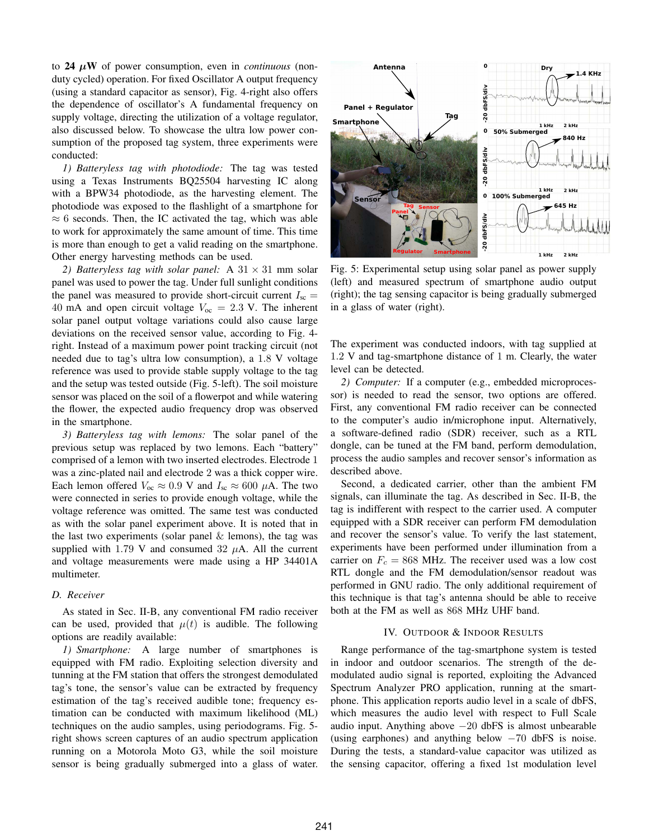to 24 *μ*W of power consumption, even in *continuous* (nonduty cycled) operation. For fixed Oscillator A output frequency (using a standard capacitor as sensor), Fig. 4-right also offers the dependence of oscillator's A fundamental frequency on supply voltage, directing the utilization of a voltage regulator, also discussed below. To showcase the ultra low power consumption of the proposed tag system, three experiments were conducted:

*1) Batteryless tag with photodiode:* The tag was tested using a Texas Instruments BQ25504 harvesting IC along with a BPW34 photodiode, as the harvesting element. The photodiode was exposed to the flashlight of a smartphone for  $\approx 6$  seconds. Then, the IC activated the tag, which was able to work for approximately the same amount of time. This time is more than enough to get a valid reading on the smartphone. Other energy harvesting methods can be used.

2) *Batteryless tag with solar panel:* A  $31 \times 31$  mm solar panel was used to power the tag. Under full sunlight conditions the panel was measured to provide short-circuit current  $I_{\rm sc}$  = 40 mA and open circuit voltage  $V_{\text{oc}} = 2.3$  V. The inherent solar panel output voltage variations could also cause large deviations on the received sensor value, according to Fig. 4 right. Instead of a maximum power point tracking circuit (not needed due to tag's ultra low consumption), a 1.8 V voltage reference was used to provide stable supply voltage to the tag and the setup was tested outside (Fig. 5-left). The soil moisture sensor was placed on the soil of a flowerpot and while watering the flower, the expected audio frequency drop was observed in the smartphone.

*3) Batteryless tag with lemons:* The solar panel of the previous setup was replaced by two lemons. Each "battery" comprised of a lemon with two inserted electrodes. Electrode 1 was a zinc-plated nail and electrode 2 was a thick copper wire. Each lemon offered  $V_{\text{oc}} \approx 0.9 \text{ V}$  and  $I_{\text{sc}} \approx 600 \mu\text{A}$ . The two were connected in series to provide enough voltage, while the voltage reference was omitted. The same test was conducted as with the solar panel experiment above. It is noted that in the last two experiments (solar panel  $\&$  lemons), the tag was supplied with 1.79 V and consumed 32  $\mu$ A. All the current and voltage measurements were made using a HP 34401A multimeter.

# *D. Receiver*

As stated in Sec. II-B, any conventional FM radio receiver can be used, provided that  $\mu(t)$  is audible. The following options are readily available:

*1) Smartphone:* A large number of smartphones is equipped with FM radio. Exploiting selection diversity and tunning at the FM station that offers the strongest demodulated tag's tone, the sensor's value can be extracted by frequency estimation of the tag's received audible tone; frequency estimation can be conducted with maximum likelihood (ML) techniques on the audio samples, using periodograms. Fig. 5 right shows screen captures of an audio spectrum application running on a Motorola Moto G3, while the soil moisture sensor is being gradually submerged into a glass of water.



Fig. 5: Experimental setup using solar panel as power supply (left) and measured spectrum of smartphone audio output (right); the tag sensing capacitor is being gradually submerged in a glass of water (right).

The experiment was conducted indoors, with tag supplied at 1.2 V and tag-smartphone distance of 1 m. Clearly, the water level can be detected.

*2) Computer:* If a computer (e.g., embedded microprocessor) is needed to read the sensor, two options are offered. First, any conventional FM radio receiver can be connected to the computer's audio in/microphone input. Alternatively, a software-defined radio (SDR) receiver, such as a RTL dongle, can be tuned at the FM band, perform demodulation, process the audio samples and recover sensor's information as described above.

Second, a dedicated carrier, other than the ambient FM signals, can illuminate the tag. As described in Sec. II-B, the tag is indifferent with respect to the carrier used. A computer equipped with a SDR receiver can perform FM demodulation and recover the sensor's value. To verify the last statement, experiments have been performed under illumination from a carrier on  $F_c = 868$  MHz. The receiver used was a low cost RTL dongle and the FM demodulation/sensor readout was performed in GNU radio. The only additional requirement of this technique is that tag's antenna should be able to receive both at the FM as well as 868 MHz UHF band.

#### IV. OUTDOOR & INDOOR RESULTS

Range performance of the tag-smartphone system is tested in indoor and outdoor scenarios. The strength of the demodulated audio signal is reported, exploiting the Advanced Spectrum Analyzer PRO application, running at the smartphone. This application reports audio level in a scale of dbFS, which measures the audio level with respect to Full Scale audio input. Anything above  $-20$  dbFS is almost unbearable (using earphones) and anything below  $-70$  dbFS is noise. During the tests, a standard-value capacitor was utilized as the sensing capacitor, offering a fixed 1st modulation level